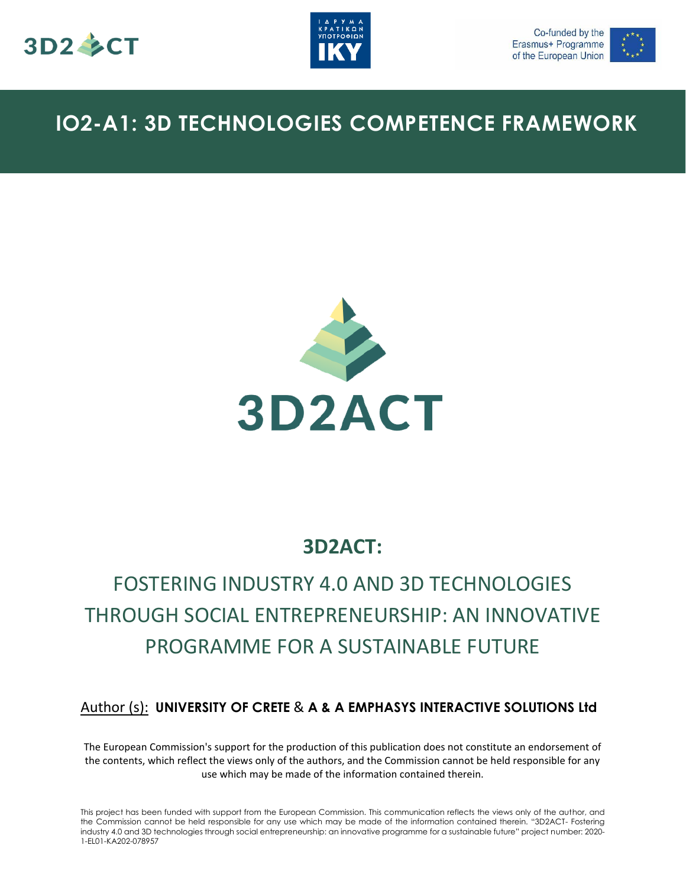





## **IO2-A1: 3D TECHNOLOGIES COMPETENCE FRAMEWORK**



### **3D2ACT:**

# FOSTERING INDUSTRY 4.0 AND 3D TECHNOLOGIES THROUGH SOCIAL ENTREPRENEURSHIP: AN INNOVATIVE PROGRAMME FOR A SUSTAINABLE FUTURE

#### Author (s): **UNIVERSITY OF CRETE** & **A & A EMPHASYS INTERACTIVE SOLUTIONS Ltd**

The European Commission's support for the production of this publication does not constitute an endorsement of the contents, which reflect the views only of the authors, and the Commission cannot be held responsible for any use which may be made of the information contained therein.

This project has been funded with support from the European Commission. This communication reflects the views only of the author, and the Commission cannot be held responsible for any use which may be made of the information contained therein. "3D2ACT- Fostering industry 4.0 and 3D technologies through social entrepreneurship: an innovative programme for a sustainable future" project number: 2020- 1-EL01-KA202-078957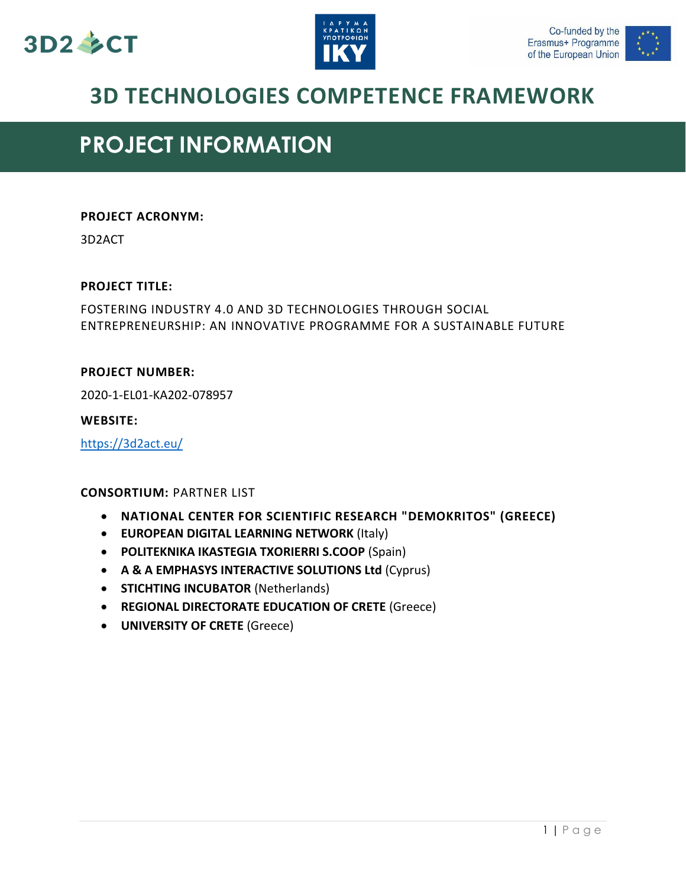





## **3D TECHNOLOGIES COMPETENCE FRAMEWORK**

## **PROJECT INFORMATION**

#### **PROJECT ACRONYM:**

3D2ACT

#### **PROJECT TITLE:**

FOSTERING INDUSTRY 4.0 AND 3D TECHNOLOGIES THROUGH SOCIAL ENTREPRENEURSHIP: AN INNOVATIVE PROGRAMME FOR A SUSTAINABLE FUTURE

#### **PROJECT NUMBER:**

2020-1-EL01-KA202-078957

#### **WEBSITE:**

<https://3d2act.eu/>

#### **CONSORTIUM:** PARTNER LIST

- **NATIONAL CENTER FOR SCIENTIFIC RESEARCH "DEMOKRITOS" (GREECE)**
- **EUROPEAN DIGITAL LEARNING NETWORK** (Italy)
- **POLITEKNIKA IKASTEGIA TXORIERRI S.COOP** (Spain)
- **A & A EMPHASYS INTERACTIVE SOLUTIONS Ltd** (Cyprus)
- **STICHTING INCUBATOR (Netherlands)**
- **REGIONAL DIRECTORATE EDUCATION OF CRETE** (Greece)
- **UNIVERSITY OF CRETE** (Greece)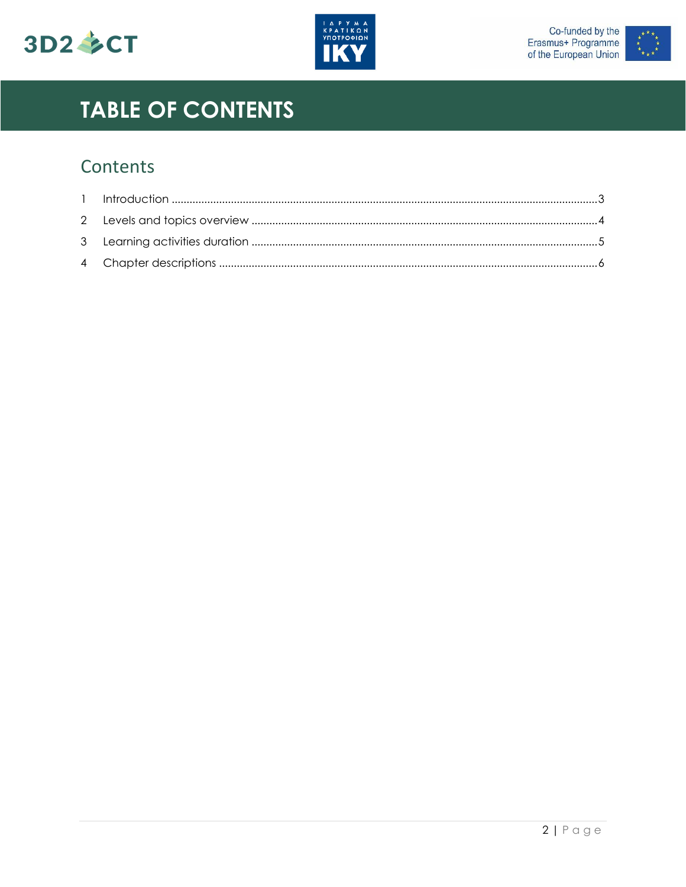





# **TABLE OF CONTENTS**

## Contents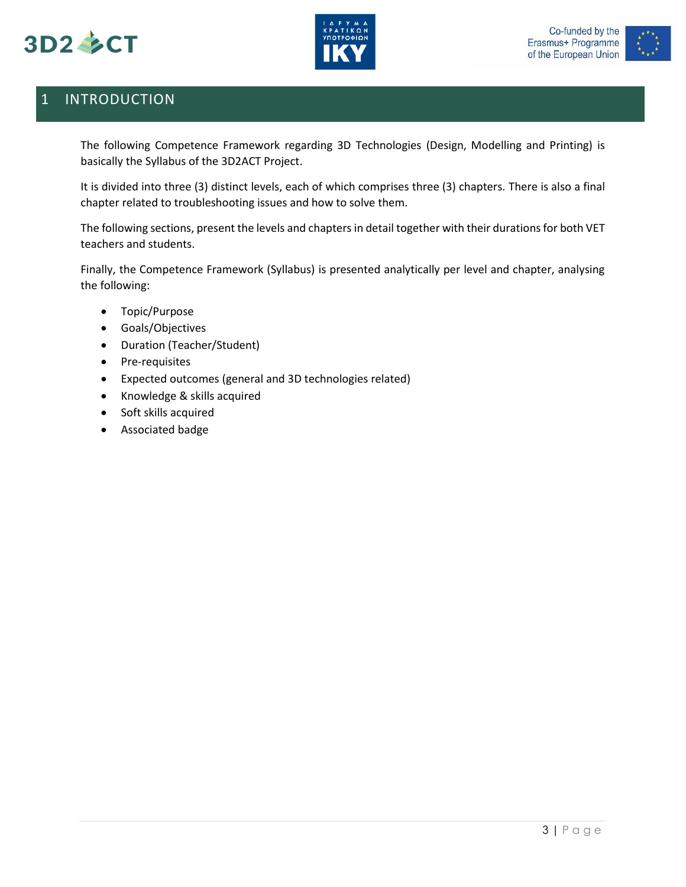





### <span id="page-3-0"></span>1 INTRODUCTION

The following Competence Framework regarding 3D Technologies (Design, Modelling and Printing) is basically the Syllabus of the 3D2ACT Project.

It is divided into three (3) distinct levels, each of which comprises three (3) chapters. There is also a final chapter related to troubleshooting issues and how to solve them.

The following sections, present the levels and chapters in detail together with their durations for both VET teachers and students.

Finally, the Competence Framework (Syllabus) is presented analytically per level and chapter, analysing the following:

- Topic/Purpose
- Goals/Objectives
- Duration (Teacher/Student)
- Pre-requisites
- Expected outcomes (general and 3D technologies related)
- Knowledge & skills acquired
- Soft skills acquired
- Associated badge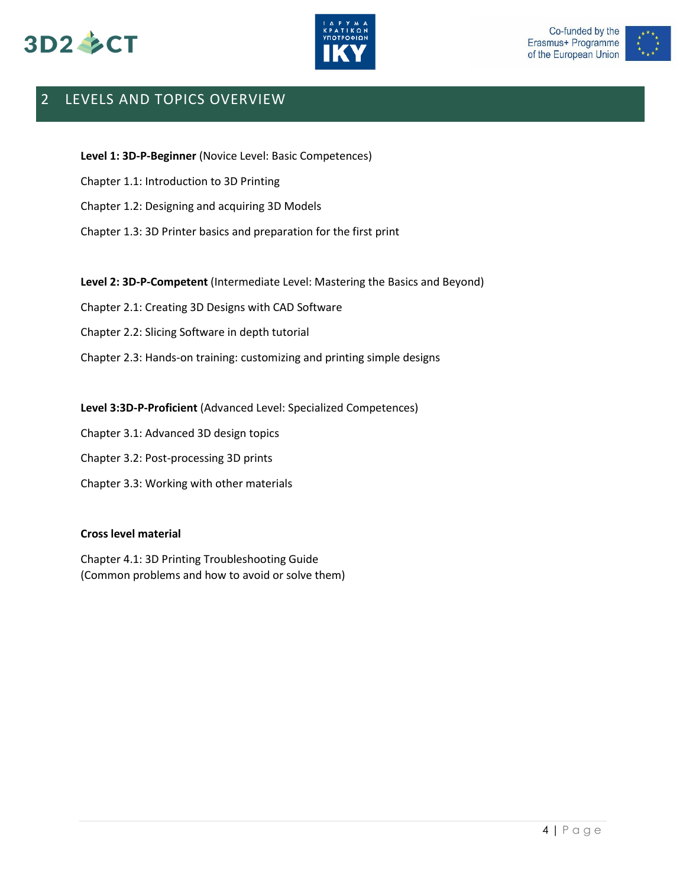





### <span id="page-4-0"></span>2 LEVELS AND TOPICS OVERVIEW

**Level 1: 3D-P-Beginner** (Novice Level: Basic Competences)

Chapter 1.1: Introduction to 3D Printing

Chapter 1.2: Designing and acquiring 3D Models

Chapter 1.3: 3D Printer basics and preparation for the first print

**Level 2: 3D-P-Competent** (Intermediate Level: Mastering the Basics and Beyond)

Chapter 2.1: Creating 3D Designs with CAD Software

Chapter 2.2: Slicing Software in depth tutorial

Chapter 2.3: Hands-on training: customizing and printing simple designs

**Level 3:3D-P-Proficient** (Advanced Level: Specialized Competences)

Chapter 3.1: Advanced 3D design topics

Chapter 3.2: Post-processing 3D prints

Chapter 3.3: Working with other materials

#### **Cross level material**

Chapter 4.1: 3D Printing Troubleshooting Guide (Common problems and how to avoid or solve them)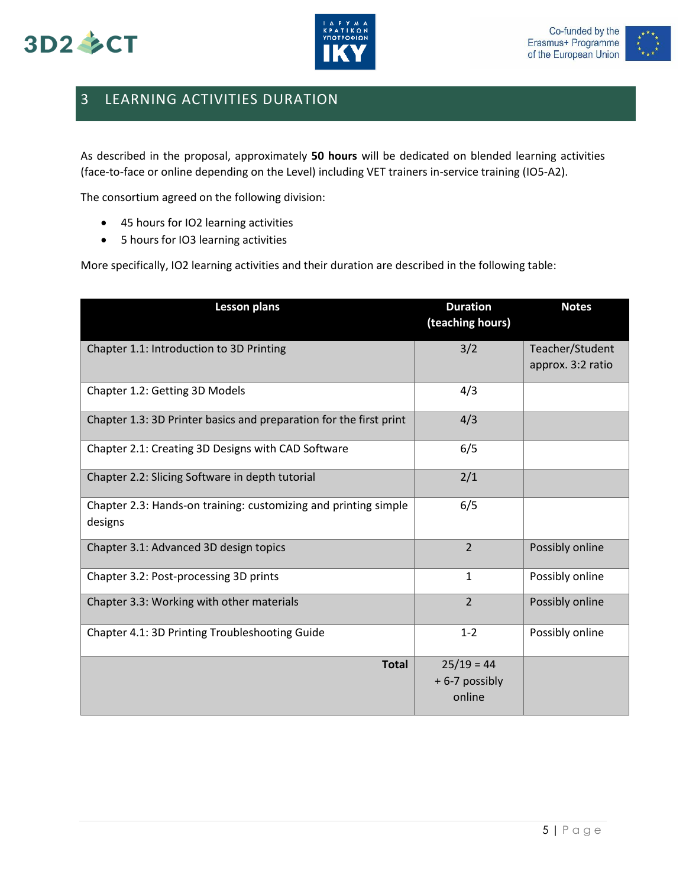





### <span id="page-5-0"></span>3 LEARNING ACTIVITIES DURATION

As described in the proposal, approximately **50 hours** will be dedicated on blended learning activities (face-to-face or online depending on the Level) including VET trainers in-service training (IO5-A2).

The consortium agreed on the following division:

- 45 hours for IO2 learning activities
- 5 hours for IO3 learning activities

More specifically, IO2 learning activities and their duration are described in the following table:

| <b>Lesson plans</b>                                                        | <b>Duration</b><br>(teaching hours)     | <b>Notes</b>                         |
|----------------------------------------------------------------------------|-----------------------------------------|--------------------------------------|
| Chapter 1.1: Introduction to 3D Printing                                   | 3/2                                     | Teacher/Student<br>approx. 3:2 ratio |
| Chapter 1.2: Getting 3D Models                                             | 4/3                                     |                                      |
| Chapter 1.3: 3D Printer basics and preparation for the first print         | 4/3                                     |                                      |
| Chapter 2.1: Creating 3D Designs with CAD Software                         | 6/5                                     |                                      |
| Chapter 2.2: Slicing Software in depth tutorial                            | 2/1                                     |                                      |
| Chapter 2.3: Hands-on training: customizing and printing simple<br>designs | 6/5                                     |                                      |
| Chapter 3.1: Advanced 3D design topics                                     | $\overline{2}$                          | Possibly online                      |
| Chapter 3.2: Post-processing 3D prints                                     | $\mathbf{1}$                            | Possibly online                      |
| Chapter 3.3: Working with other materials                                  | $\overline{2}$                          | Possibly online                      |
| Chapter 4.1: 3D Printing Troubleshooting Guide                             | $1 - 2$                                 | Possibly online                      |
| <b>Total</b>                                                               | $25/19 = 44$<br>+6-7 possibly<br>online |                                      |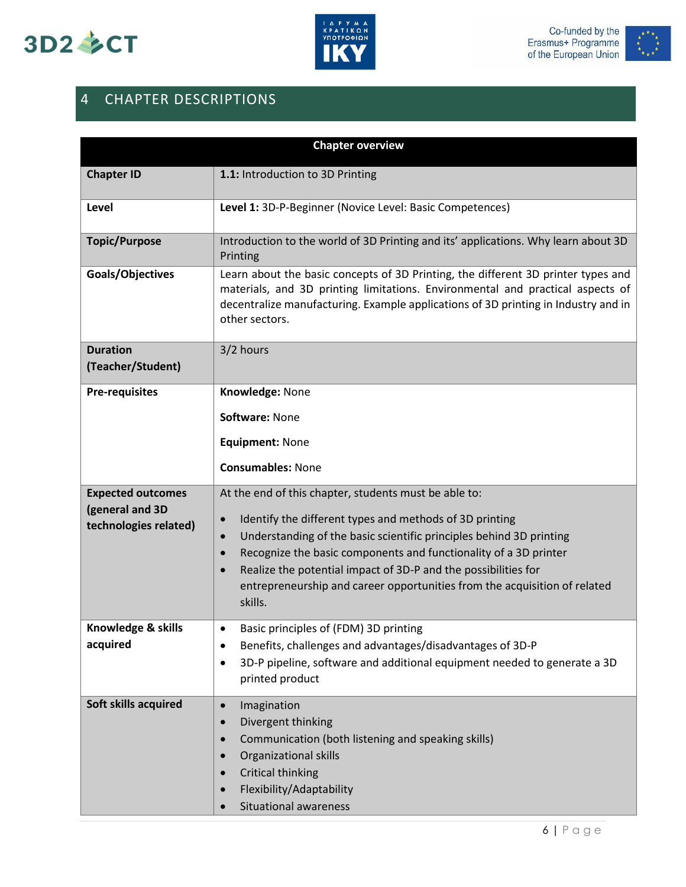





### <span id="page-6-0"></span>4 CHAPTER DESCRIPTIONS

| <b>Chapter overview</b>                                              |                                                                                                                                                                                                                                                                                                                                                                                                                                                                           |  |
|----------------------------------------------------------------------|---------------------------------------------------------------------------------------------------------------------------------------------------------------------------------------------------------------------------------------------------------------------------------------------------------------------------------------------------------------------------------------------------------------------------------------------------------------------------|--|
| <b>Chapter ID</b>                                                    | 1.1: Introduction to 3D Printing                                                                                                                                                                                                                                                                                                                                                                                                                                          |  |
| Level                                                                | Level 1: 3D-P-Beginner (Novice Level: Basic Competences)                                                                                                                                                                                                                                                                                                                                                                                                                  |  |
| <b>Topic/Purpose</b>                                                 | Introduction to the world of 3D Printing and its' applications. Why learn about 3D<br>Printing                                                                                                                                                                                                                                                                                                                                                                            |  |
| Goals/Objectives                                                     | Learn about the basic concepts of 3D Printing, the different 3D printer types and<br>materials, and 3D printing limitations. Environmental and practical aspects of<br>decentralize manufacturing. Example applications of 3D printing in Industry and in<br>other sectors.                                                                                                                                                                                               |  |
| <b>Duration</b><br>(Teacher/Student)                                 | 3/2 hours                                                                                                                                                                                                                                                                                                                                                                                                                                                                 |  |
| <b>Pre-requisites</b>                                                | Knowledge: None                                                                                                                                                                                                                                                                                                                                                                                                                                                           |  |
|                                                                      | Software: None                                                                                                                                                                                                                                                                                                                                                                                                                                                            |  |
|                                                                      | <b>Equipment: None</b>                                                                                                                                                                                                                                                                                                                                                                                                                                                    |  |
|                                                                      | <b>Consumables: None</b>                                                                                                                                                                                                                                                                                                                                                                                                                                                  |  |
| <b>Expected outcomes</b><br>(general and 3D<br>technologies related) | At the end of this chapter, students must be able to:<br>Identify the different types and methods of 3D printing<br>$\bullet$<br>Understanding of the basic scientific principles behind 3D printing<br>$\bullet$<br>Recognize the basic components and functionality of a 3D printer<br>$\bullet$<br>Realize the potential impact of 3D-P and the possibilities for<br>$\bullet$<br>entrepreneurship and career opportunities from the acquisition of related<br>skills. |  |
| Knowledge & skills<br>acquired                                       | Basic principles of (FDM) 3D printing<br>$\bullet$<br>Benefits, challenges and advantages/disadvantages of 3D-P<br>3D-P pipeline, software and additional equipment needed to generate a 3D<br>printed product                                                                                                                                                                                                                                                            |  |
| Soft skills acquired                                                 | Imagination<br>$\bullet$<br>Divergent thinking<br>$\bullet$<br>Communication (both listening and speaking skills)<br>$\bullet$<br><b>Organizational skills</b><br><b>Critical thinking</b><br>Flexibility/Adaptability<br>Situational awareness                                                                                                                                                                                                                           |  |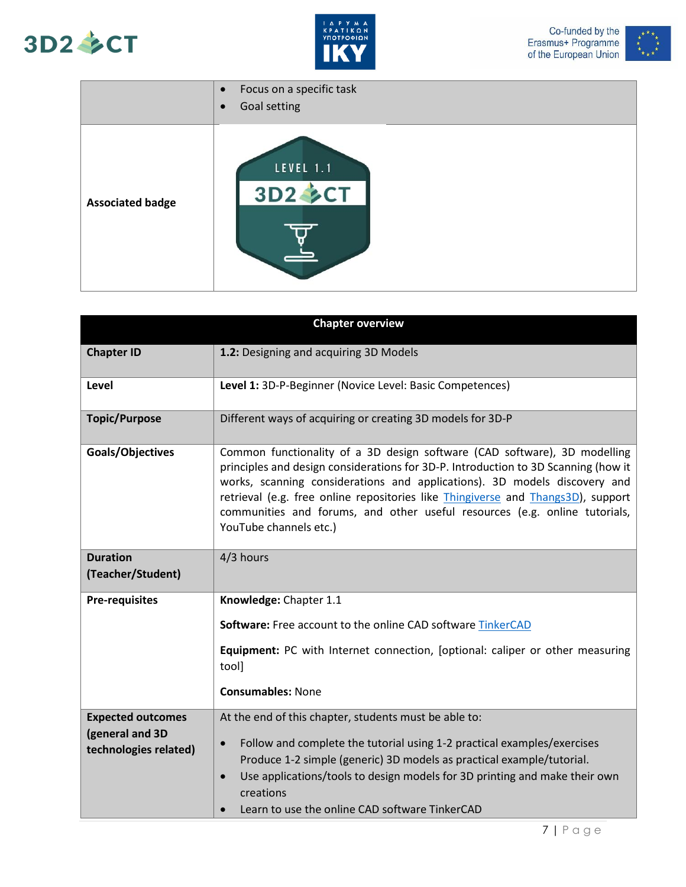





|                         | Focus on a specific task<br>$\bullet$<br>Goal setting<br>$\bullet$ |
|-------------------------|--------------------------------------------------------------------|
| <b>Associated badge</b> | <b>LEVEL 1.1</b><br>3D2 SCT                                        |

| <b>Chapter overview</b>                                              |                                                                                                                                                                                                                                                                                                                                                                                                                                                         |  |
|----------------------------------------------------------------------|---------------------------------------------------------------------------------------------------------------------------------------------------------------------------------------------------------------------------------------------------------------------------------------------------------------------------------------------------------------------------------------------------------------------------------------------------------|--|
| <b>Chapter ID</b>                                                    | 1.2: Designing and acquiring 3D Models                                                                                                                                                                                                                                                                                                                                                                                                                  |  |
| Level                                                                | Level 1: 3D-P-Beginner (Novice Level: Basic Competences)                                                                                                                                                                                                                                                                                                                                                                                                |  |
| <b>Topic/Purpose</b>                                                 | Different ways of acquiring or creating 3D models for 3D-P                                                                                                                                                                                                                                                                                                                                                                                              |  |
| Goals/Objectives                                                     | Common functionality of a 3D design software (CAD software), 3D modelling<br>principles and design considerations for 3D-P. Introduction to 3D Scanning (how it<br>works, scanning considerations and applications). 3D models discovery and<br>retrieval (e.g. free online repositories like <i>Thingiverse</i> and <i>Thangs3D</i> ), support<br>communities and forums, and other useful resources (e.g. online tutorials,<br>YouTube channels etc.) |  |
| <b>Duration</b><br>(Teacher/Student)                                 | 4/3 hours                                                                                                                                                                                                                                                                                                                                                                                                                                               |  |
| <b>Pre-requisites</b>                                                | Knowledge: Chapter 1.1<br>Software: Free account to the online CAD software TinkerCAD<br>Equipment: PC with Internet connection, [optional: caliper or other measuring<br>tool]<br><b>Consumables: None</b>                                                                                                                                                                                                                                             |  |
| <b>Expected outcomes</b><br>(general and 3D<br>technologies related) | At the end of this chapter, students must be able to:<br>Follow and complete the tutorial using 1-2 practical examples/exercises<br>$\bullet$<br>Produce 1-2 simple (generic) 3D models as practical example/tutorial.<br>Use applications/tools to design models for 3D printing and make their own<br>$\bullet$<br>creations<br>Learn to use the online CAD software TinkerCAD                                                                        |  |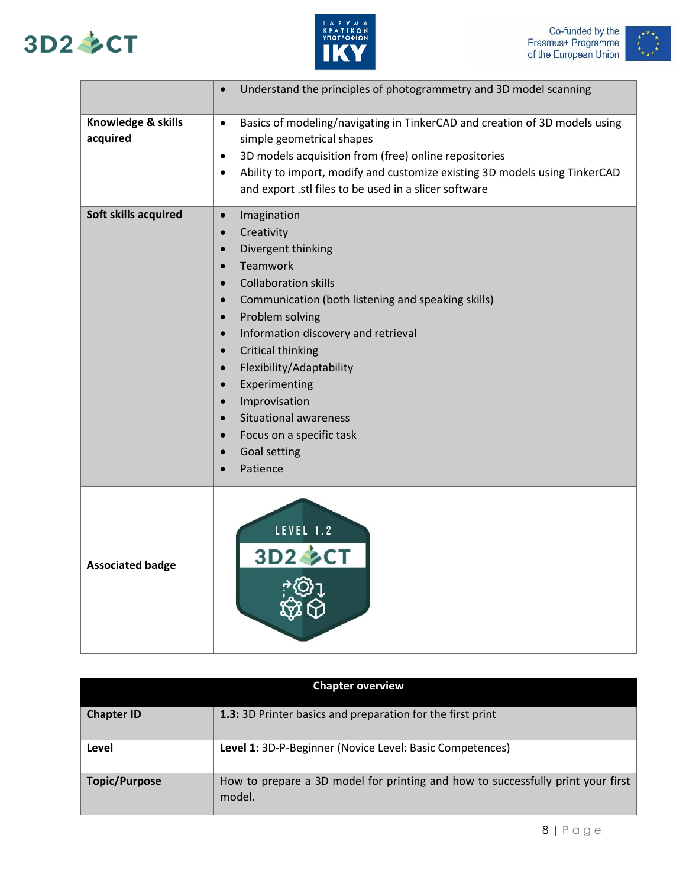





|                                | Understand the principles of photogrammetry and 3D model scanning<br>$\bullet$                                                                                                                                                                                                                                                                                                                                                                                                                                                                                                           |
|--------------------------------|------------------------------------------------------------------------------------------------------------------------------------------------------------------------------------------------------------------------------------------------------------------------------------------------------------------------------------------------------------------------------------------------------------------------------------------------------------------------------------------------------------------------------------------------------------------------------------------|
| Knowledge & skills<br>acquired | Basics of modeling/navigating in TinkerCAD and creation of 3D models using<br>$\bullet$<br>simple geometrical shapes<br>3D models acquisition from (free) online repositories<br>$\bullet$<br>Ability to import, modify and customize existing 3D models using TinkerCAD<br>$\bullet$<br>and export .stl files to be used in a slicer software                                                                                                                                                                                                                                           |
| Soft skills acquired           | Imagination<br>$\bullet$<br>Creativity<br>$\bullet$<br>Divergent thinking<br>$\bullet$<br>Teamwork<br>$\bullet$<br><b>Collaboration skills</b><br>$\bullet$<br>Communication (both listening and speaking skills)<br>$\bullet$<br>Problem solving<br>$\bullet$<br>Information discovery and retrieval<br>$\bullet$<br>Critical thinking<br>$\bullet$<br>Flexibility/Adaptability<br>$\bullet$<br>Experimenting<br>$\bullet$<br>Improvisation<br>$\bullet$<br><b>Situational awareness</b><br>$\bullet$<br>Focus on a specific task<br>$\bullet$<br>Goal setting<br>$\bullet$<br>Patience |
| <b>Associated badge</b>        | LEVEL 1.2<br>3D2 多CT                                                                                                                                                                                                                                                                                                                                                                                                                                                                                                                                                                     |

| <b>Chapter overview</b> |                                                                                           |  |
|-------------------------|-------------------------------------------------------------------------------------------|--|
| <b>Chapter ID</b>       | 1.3: 3D Printer basics and preparation for the first print                                |  |
| Level                   | Level 1: 3D-P-Beginner (Novice Level: Basic Competences)                                  |  |
| <b>Topic/Purpose</b>    | How to prepare a 3D model for printing and how to successfully print your first<br>model. |  |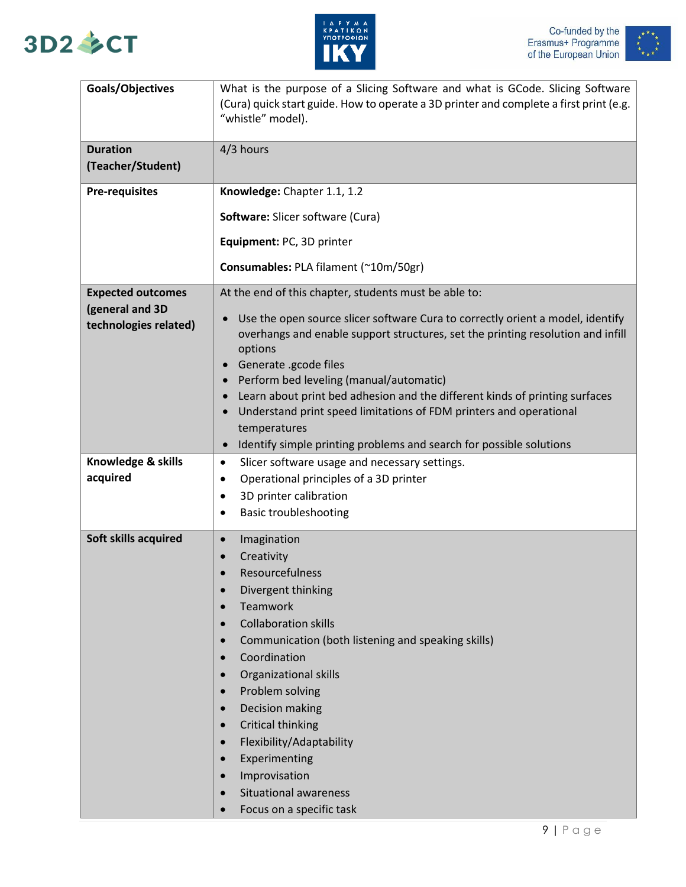



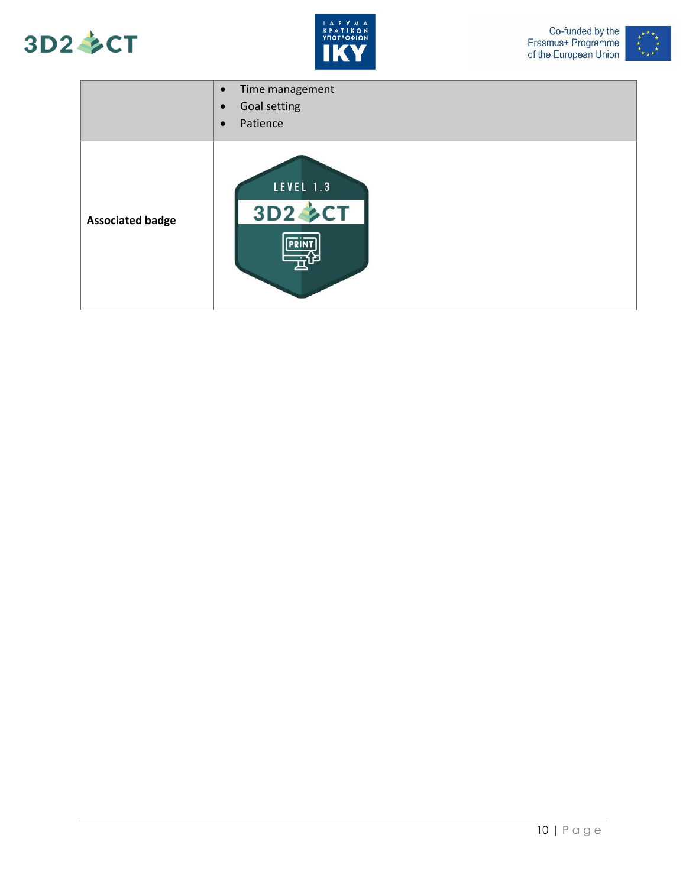







|                         | Time management<br>$\bullet$<br>Goal setting<br>$\bullet$<br>Patience<br>$\bullet$ |
|-------------------------|------------------------------------------------------------------------------------|
| <b>Associated badge</b> | LEVEL 1.3<br>3D2 <b>CT</b>                                                         |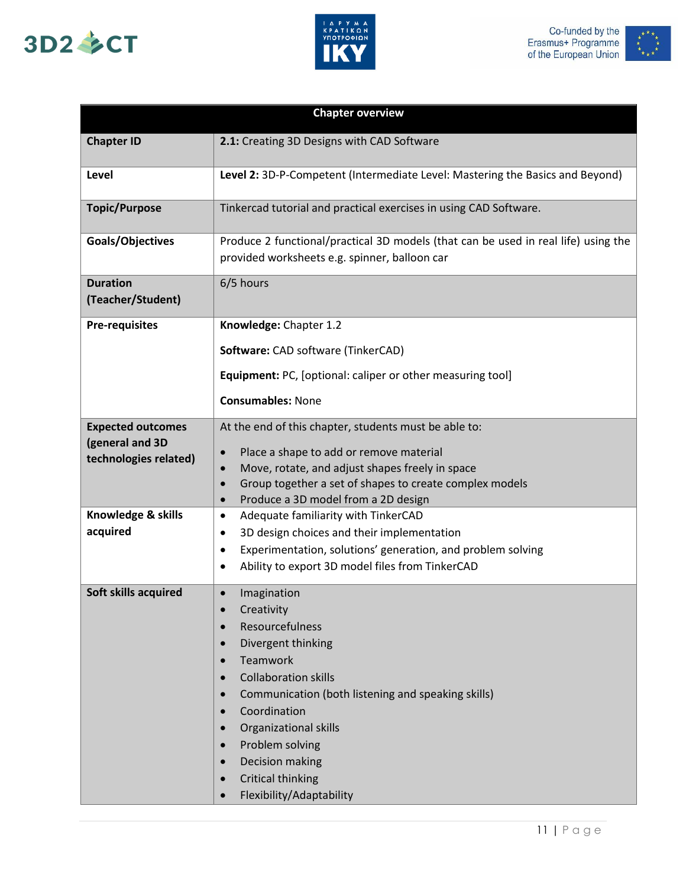





| <b>Chapter overview</b>                     |                                                                                                                                      |  |
|---------------------------------------------|--------------------------------------------------------------------------------------------------------------------------------------|--|
| <b>Chapter ID</b>                           | 2.1: Creating 3D Designs with CAD Software                                                                                           |  |
| Level                                       | Level 2: 3D-P-Competent (Intermediate Level: Mastering the Basics and Beyond)                                                        |  |
| <b>Topic/Purpose</b>                        | Tinkercad tutorial and practical exercises in using CAD Software.                                                                    |  |
| Goals/Objectives                            | Produce 2 functional/practical 3D models (that can be used in real life) using the<br>provided worksheets e.g. spinner, balloon car  |  |
| <b>Duration</b><br>(Teacher/Student)        | 6/5 hours                                                                                                                            |  |
| <b>Pre-requisites</b>                       | Knowledge: Chapter 1.2                                                                                                               |  |
|                                             | Software: CAD software (TinkerCAD)                                                                                                   |  |
|                                             | Equipment: PC, [optional: caliper or other measuring tool]                                                                           |  |
|                                             | <b>Consumables: None</b>                                                                                                             |  |
|                                             |                                                                                                                                      |  |
| <b>Expected outcomes</b><br>(general and 3D | At the end of this chapter, students must be able to:                                                                                |  |
| technologies related)                       | Place a shape to add or remove material<br>$\bullet$                                                                                 |  |
|                                             | Move, rotate, and adjust shapes freely in space<br>$\bullet$<br>Group together a set of shapes to create complex models<br>$\bullet$ |  |
|                                             | Produce a 3D model from a 2D design<br>$\bullet$                                                                                     |  |
| Knowledge & skills                          | Adequate familiarity with TinkerCAD<br>$\bullet$                                                                                     |  |
| acquired                                    | 3D design choices and their implementation<br>$\bullet$                                                                              |  |
|                                             | Experimentation, solutions' generation, and problem solving<br>٠                                                                     |  |
|                                             | Ability to export 3D model files from TinkerCAD<br>$\bullet$                                                                         |  |
| Soft skills acquired                        | Imagination<br>$\bullet$                                                                                                             |  |
|                                             | Creativity<br>$\bullet$                                                                                                              |  |
|                                             | Resourcefulness                                                                                                                      |  |
|                                             | Divergent thinking<br>$\bullet$                                                                                                      |  |
|                                             | Teamwork<br>$\bullet$                                                                                                                |  |
|                                             | <b>Collaboration skills</b><br>$\bullet$                                                                                             |  |
|                                             | Communication (both listening and speaking skills)<br>$\bullet$                                                                      |  |
|                                             | Coordination<br>$\bullet$                                                                                                            |  |
|                                             | Organizational skills<br>$\bullet$                                                                                                   |  |
|                                             | Problem solving<br>$\bullet$                                                                                                         |  |
|                                             | Decision making<br>$\bullet$                                                                                                         |  |
|                                             | <b>Critical thinking</b><br>$\bullet$                                                                                                |  |
|                                             | Flexibility/Adaptability<br>$\bullet$                                                                                                |  |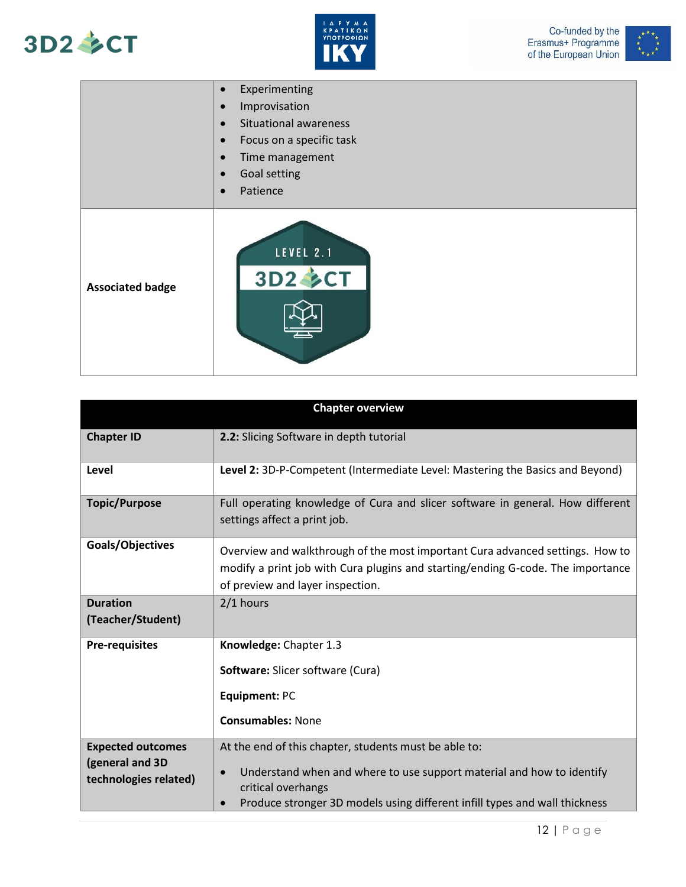





|                         | Experimenting<br>$\bullet$                |
|-------------------------|-------------------------------------------|
|                         | Improvisation<br>$\bullet$                |
|                         | <b>Situational awareness</b><br>$\bullet$ |
|                         | Focus on a specific task<br>$\bullet$     |
|                         | Time management<br>$\bullet$              |
|                         | Goal setting<br>$\bullet$                 |
|                         | Patience<br>$\bullet$                     |
| <b>Associated badge</b> | LEVEL 2.1<br><b>3D2 SCT</b>               |

| <b>Chapter overview</b>                                              |                                                                                                                                                                                                                                                 |  |
|----------------------------------------------------------------------|-------------------------------------------------------------------------------------------------------------------------------------------------------------------------------------------------------------------------------------------------|--|
| <b>Chapter ID</b>                                                    | 2.2: Slicing Software in depth tutorial                                                                                                                                                                                                         |  |
| Level                                                                | Level 2: 3D-P-Competent (Intermediate Level: Mastering the Basics and Beyond)                                                                                                                                                                   |  |
| <b>Topic/Purpose</b>                                                 | Full operating knowledge of Cura and slicer software in general. How different<br>settings affect a print job.                                                                                                                                  |  |
| Goals/Objectives                                                     | Overview and walkthrough of the most important Cura advanced settings. How to<br>modify a print job with Cura plugins and starting/ending G-code. The importance<br>of preview and layer inspection.                                            |  |
| <b>Duration</b><br>(Teacher/Student)                                 | $2/1$ hours                                                                                                                                                                                                                                     |  |
| <b>Pre-requisites</b>                                                | Knowledge: Chapter 1.3<br>Software: Slicer software (Cura)<br>Equipment: PC<br><b>Consumables: None</b>                                                                                                                                         |  |
| <b>Expected outcomes</b><br>(general and 3D<br>technologies related) | At the end of this chapter, students must be able to:<br>Understand when and where to use support material and how to identify<br>$\bullet$<br>critical overhangs<br>Produce stronger 3D models using different infill types and wall thickness |  |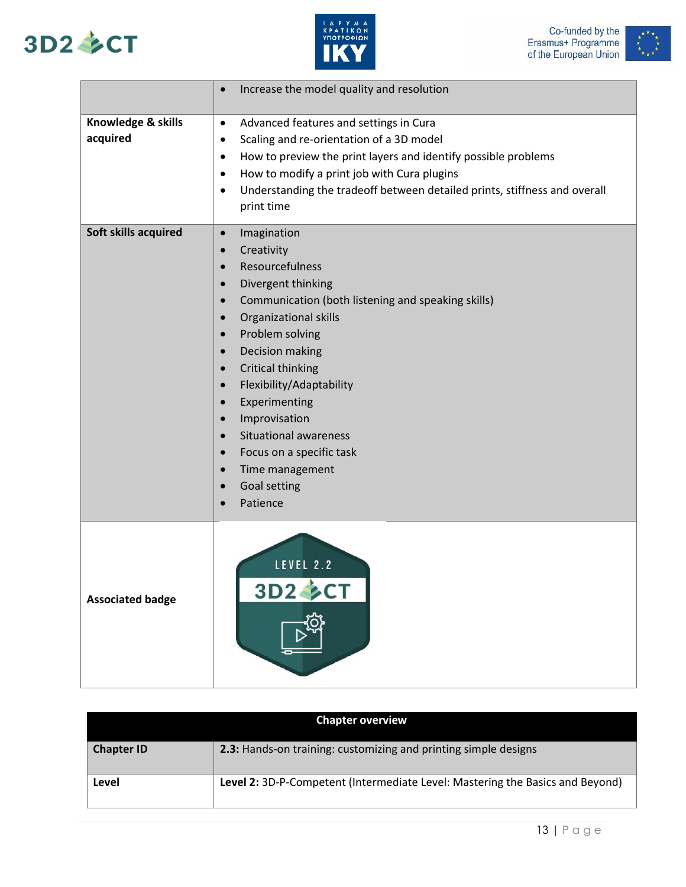





|                                | Increase the model quality and resolution<br>$\bullet$                                                                                                                                                                                                                                                                                                                                                                                                                                                                                                                                                                    |
|--------------------------------|---------------------------------------------------------------------------------------------------------------------------------------------------------------------------------------------------------------------------------------------------------------------------------------------------------------------------------------------------------------------------------------------------------------------------------------------------------------------------------------------------------------------------------------------------------------------------------------------------------------------------|
| Knowledge & skills<br>acquired | Advanced features and settings in Cura<br>$\bullet$<br>Scaling and re-orientation of a 3D model<br>$\bullet$<br>How to preview the print layers and identify possible problems<br>$\bullet$<br>How to modify a print job with Cura plugins<br>$\bullet$<br>Understanding the tradeoff between detailed prints, stiffness and overall<br>$\bullet$<br>print time                                                                                                                                                                                                                                                           |
| Soft skills acquired           | Imagination<br>$\bullet$<br>Creativity<br>$\bullet$<br>Resourcefulness<br>$\bullet$<br>Divergent thinking<br>$\bullet$<br>Communication (both listening and speaking skills)<br>$\bullet$<br>Organizational skills<br>$\bullet$<br>Problem solving<br>$\bullet$<br>Decision making<br>$\bullet$<br><b>Critical thinking</b><br>$\bullet$<br>Flexibility/Adaptability<br>$\bullet$<br>Experimenting<br>$\bullet$<br>Improvisation<br>$\bullet$<br><b>Situational awareness</b><br>$\bullet$<br>Focus on a specific task<br>$\bullet$<br>Time management<br>$\bullet$<br>Goal setting<br>$\bullet$<br>Patience<br>$\bullet$ |
| <b>Associated badge</b>        | LEVEL 2.2<br>3D2 SCT                                                                                                                                                                                                                                                                                                                                                                                                                                                                                                                                                                                                      |

| <b>Chapter overview</b> |                                                                               |
|-------------------------|-------------------------------------------------------------------------------|
| <b>Chapter ID</b>       | 2.3: Hands-on training: customizing and printing simple designs               |
| Level                   | Level 2: 3D-P-Competent (Intermediate Level: Mastering the Basics and Beyond) |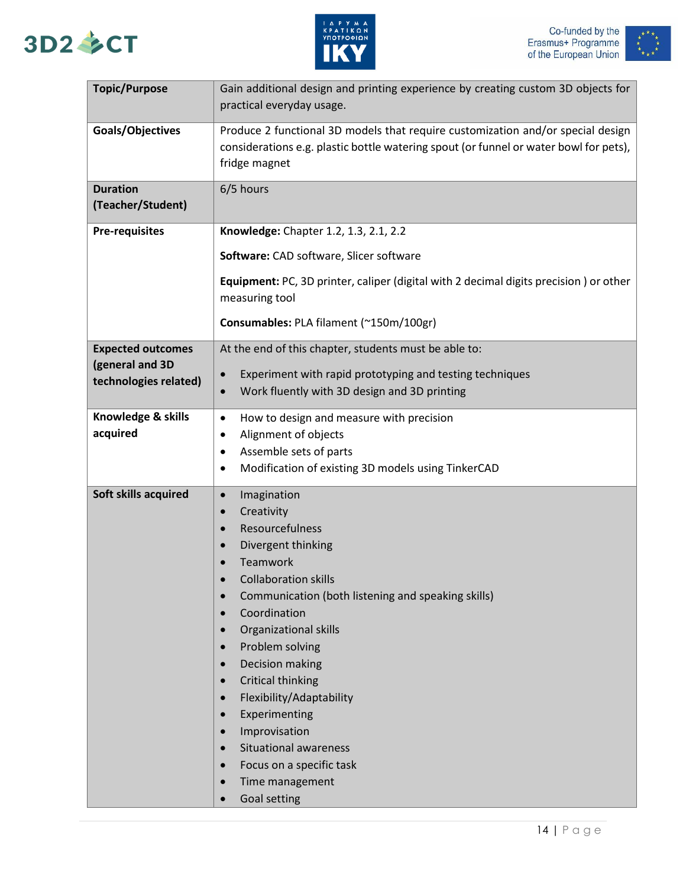





| <b>Topic/Purpose</b>                     | Gain additional design and printing experience by creating custom 3D objects for<br>practical everyday usage.                                                                             |
|------------------------------------------|-------------------------------------------------------------------------------------------------------------------------------------------------------------------------------------------|
| Goals/Objectives                         | Produce 2 functional 3D models that require customization and/or special design<br>considerations e.g. plastic bottle watering spout (or funnel or water bowl for pets),<br>fridge magnet |
| <b>Duration</b><br>(Teacher/Student)     | 6/5 hours                                                                                                                                                                                 |
| <b>Pre-requisites</b>                    | Knowledge: Chapter 1.2, 1.3, 2.1, 2.2                                                                                                                                                     |
|                                          | Software: CAD software, Slicer software                                                                                                                                                   |
|                                          | Equipment: PC, 3D printer, caliper (digital with 2 decimal digits precision) or other<br>measuring tool                                                                                   |
|                                          | Consumables: PLA filament (~150m/100gr)                                                                                                                                                   |
| <b>Expected outcomes</b>                 | At the end of this chapter, students must be able to:                                                                                                                                     |
| (general and 3D<br>technologies related) | Experiment with rapid prototyping and testing techniques                                                                                                                                  |
|                                          | Work fluently with 3D design and 3D printing<br>$\bullet$                                                                                                                                 |
| Knowledge & skills                       | How to design and measure with precision<br>$\bullet$                                                                                                                                     |
| acquired                                 | Alignment of objects                                                                                                                                                                      |
|                                          | Assemble sets of parts<br>٠                                                                                                                                                               |
|                                          | Modification of existing 3D models using TinkerCAD<br>٠                                                                                                                                   |
| Soft skills acquired                     | Imagination<br>$\bullet$                                                                                                                                                                  |
|                                          | Creativity<br>$\bullet$                                                                                                                                                                   |
|                                          | Resourcefulness<br>$\bullet$                                                                                                                                                              |
|                                          | Divergent thinking<br>$\bullet$                                                                                                                                                           |
|                                          | Teamwork<br>Collaboration skills                                                                                                                                                          |
|                                          | Communication (both listening and speaking skills)<br>$\bullet$                                                                                                                           |
|                                          | Coordination<br>$\bullet$                                                                                                                                                                 |
|                                          | Organizational skills                                                                                                                                                                     |
|                                          | Problem solving                                                                                                                                                                           |
|                                          | Decision making                                                                                                                                                                           |
|                                          | <b>Critical thinking</b><br>$\bullet$                                                                                                                                                     |
|                                          | Flexibility/Adaptability                                                                                                                                                                  |
|                                          | Experimenting                                                                                                                                                                             |
|                                          | Improvisation                                                                                                                                                                             |
|                                          | <b>Situational awareness</b>                                                                                                                                                              |
|                                          | Focus on a specific task                                                                                                                                                                  |
|                                          | Time management                                                                                                                                                                           |
|                                          | Goal setting                                                                                                                                                                              |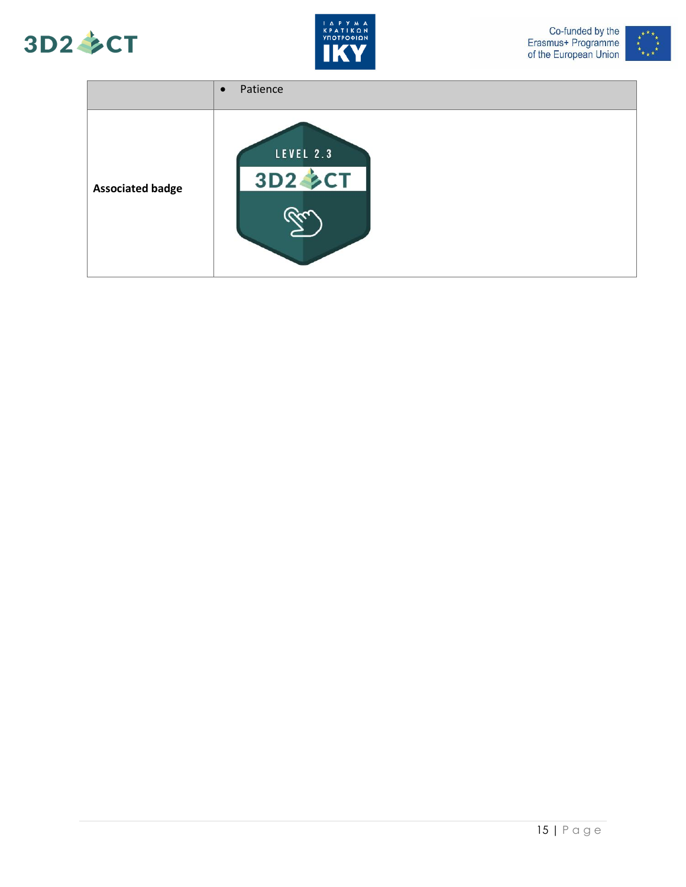





|                         | Patience<br>$\bullet$              |
|-------------------------|------------------------------------|
| <b>Associated badge</b> | <b>LEVEL 2.3</b><br><b>3D2 SCT</b> |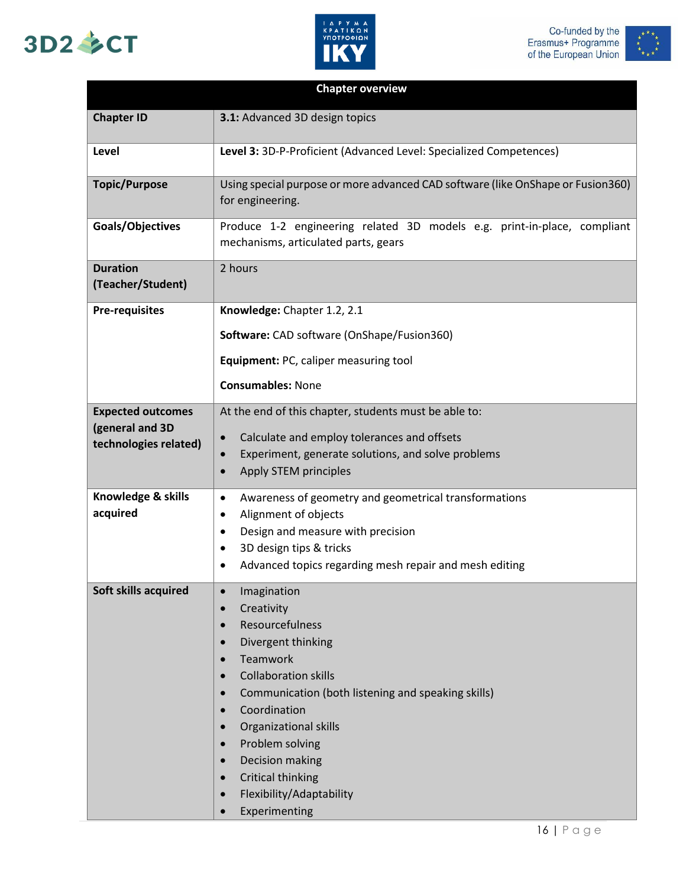# 3D2 多CT





| <b>Chapter overview</b>                                              |                                                                                                                                                                                                                                                                                                                                                                                                                                                                                                |
|----------------------------------------------------------------------|------------------------------------------------------------------------------------------------------------------------------------------------------------------------------------------------------------------------------------------------------------------------------------------------------------------------------------------------------------------------------------------------------------------------------------------------------------------------------------------------|
| <b>Chapter ID</b>                                                    | 3.1: Advanced 3D design topics                                                                                                                                                                                                                                                                                                                                                                                                                                                                 |
| Level                                                                | Level 3: 3D-P-Proficient (Advanced Level: Specialized Competences)                                                                                                                                                                                                                                                                                                                                                                                                                             |
| <b>Topic/Purpose</b>                                                 | Using special purpose or more advanced CAD software (like OnShape or Fusion360)<br>for engineering.                                                                                                                                                                                                                                                                                                                                                                                            |
| Goals/Objectives                                                     | Produce 1-2 engineering related 3D models e.g. print-in-place, compliant<br>mechanisms, articulated parts, gears                                                                                                                                                                                                                                                                                                                                                                               |
| <b>Duration</b><br>(Teacher/Student)                                 | 2 hours                                                                                                                                                                                                                                                                                                                                                                                                                                                                                        |
| <b>Pre-requisites</b>                                                | Knowledge: Chapter 1.2, 2.1                                                                                                                                                                                                                                                                                                                                                                                                                                                                    |
|                                                                      | Software: CAD software (OnShape/Fusion360)                                                                                                                                                                                                                                                                                                                                                                                                                                                     |
|                                                                      | Equipment: PC, caliper measuring tool                                                                                                                                                                                                                                                                                                                                                                                                                                                          |
|                                                                      | <b>Consumables: None</b>                                                                                                                                                                                                                                                                                                                                                                                                                                                                       |
| <b>Expected outcomes</b><br>(general and 3D<br>technologies related) | At the end of this chapter, students must be able to:<br>Calculate and employ tolerances and offsets<br>$\bullet$<br>Experiment, generate solutions, and solve problems<br>$\bullet$<br>Apply STEM principles<br>$\bullet$                                                                                                                                                                                                                                                                     |
| Knowledge & skills<br>acquired                                       | Awareness of geometry and geometrical transformations<br>$\bullet$<br>Alignment of objects<br>$\bullet$<br>Design and measure with precision<br>$\bullet$<br>3D design tips & tricks<br>$\bullet$<br>Advanced topics regarding mesh repair and mesh editing                                                                                                                                                                                                                                    |
| Soft skills acquired                                                 | Imagination<br>$\bullet$<br>Creativity<br>$\bullet$<br>Resourcefulness<br>$\bullet$<br>Divergent thinking<br><b>Teamwork</b><br>$\bullet$<br><b>Collaboration skills</b><br>$\bullet$<br>Communication (both listening and speaking skills)<br>$\bullet$<br>Coordination<br>$\bullet$<br>Organizational skills<br>$\bullet$<br>Problem solving<br>$\bullet$<br>Decision making<br>$\bullet$<br><b>Critical thinking</b><br>$\bullet$<br>Flexibility/Adaptability<br>$\bullet$<br>Experimenting |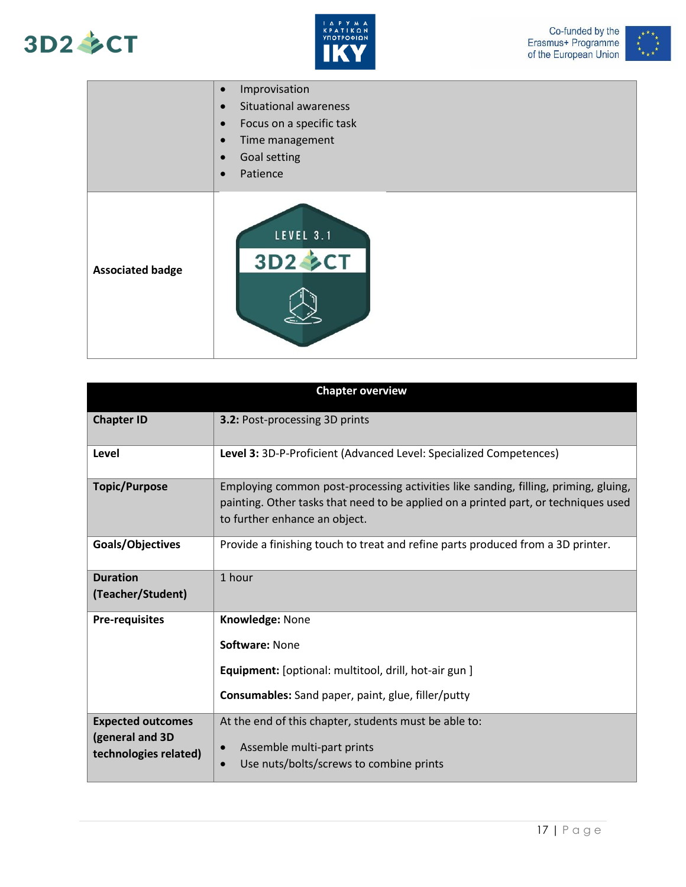





|                         | Improvisation<br>$\bullet$<br><b>Situational awareness</b><br>$\bullet$<br>Focus on a specific task<br>$\bullet$<br>Time management<br>$\bullet$<br>Goal setting<br>$\bullet$<br>Patience<br>$\bullet$ |
|-------------------------|--------------------------------------------------------------------------------------------------------------------------------------------------------------------------------------------------------|
| <b>Associated badge</b> | LEVEL 3.1<br>3D2 SCT                                                                                                                                                                                   |

| <b>Chapter overview</b>                                              |                                                                                                                                                                                                             |
|----------------------------------------------------------------------|-------------------------------------------------------------------------------------------------------------------------------------------------------------------------------------------------------------|
| <b>Chapter ID</b>                                                    | 3.2: Post-processing 3D prints                                                                                                                                                                              |
| Level                                                                | Level 3: 3D-P-Proficient (Advanced Level: Specialized Competences)                                                                                                                                          |
| <b>Topic/Purpose</b>                                                 | Employing common post-processing activities like sanding, filling, priming, gluing,<br>painting. Other tasks that need to be applied on a printed part, or techniques used<br>to further enhance an object. |
| Goals/Objectives                                                     | Provide a finishing touch to treat and refine parts produced from a 3D printer.                                                                                                                             |
| <b>Duration</b><br>(Teacher/Student)                                 | 1 hour                                                                                                                                                                                                      |
| <b>Pre-requisites</b>                                                | Knowledge: None<br>Software: None<br><b>Equipment:</b> [optional: multitool, drill, hot-air gun ]<br>Consumables: Sand paper, paint, glue, filler/putty                                                     |
| <b>Expected outcomes</b><br>(general and 3D<br>technologies related) | At the end of this chapter, students must be able to:<br>Assemble multi-part prints<br>$\bullet$<br>Use nuts/bolts/screws to combine prints<br>$\bullet$                                                    |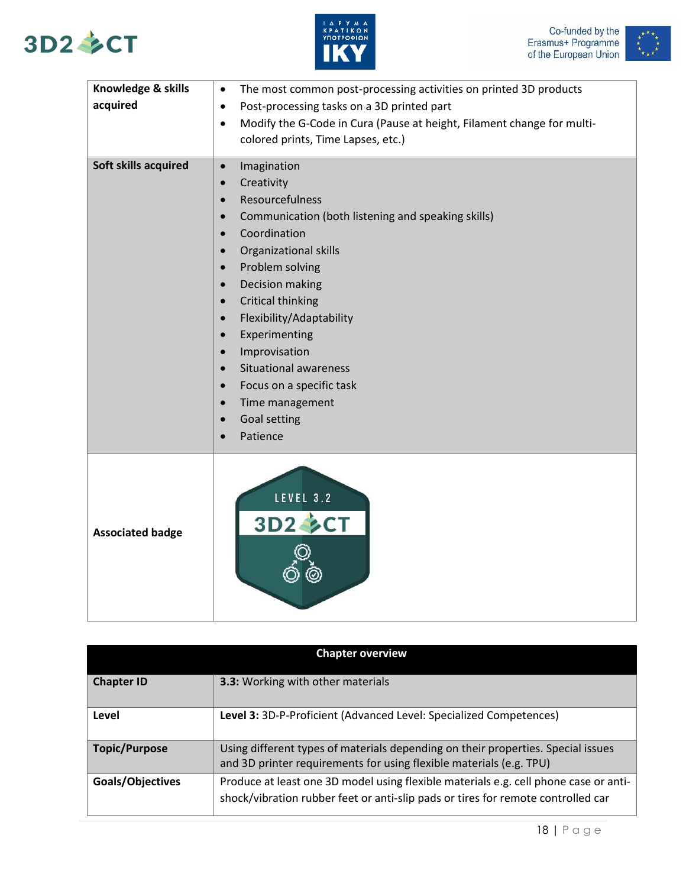







| Knowledge & skills<br>acquired | The most common post-processing activities on printed 3D products<br>$\bullet$<br>Post-processing tasks on a 3D printed part<br>$\bullet$<br>Modify the G-Code in Cura (Pause at height, Filament change for multi-<br>$\bullet$<br>colored prints, Time Lapses, etc.)                                                                                                                                                                                                                                                                             |
|--------------------------------|----------------------------------------------------------------------------------------------------------------------------------------------------------------------------------------------------------------------------------------------------------------------------------------------------------------------------------------------------------------------------------------------------------------------------------------------------------------------------------------------------------------------------------------------------|
| Soft skills acquired           | Imagination<br>$\bullet$<br>Creativity<br>$\bullet$<br>Resourcefulness<br>$\bullet$<br>Communication (both listening and speaking skills)<br>Coordination<br>Organizational skills<br>$\bullet$<br>Problem solving<br>$\bullet$<br>Decision making<br>$\bullet$<br><b>Critical thinking</b><br>$\bullet$<br>Flexibility/Adaptability<br>$\bullet$<br>Experimenting<br>$\bullet$<br>Improvisation<br>$\bullet$<br><b>Situational awareness</b><br>Focus on a specific task<br>$\bullet$<br>Time management<br>$\bullet$<br>Goal setting<br>Patience |
| <b>Associated badge</b>        | LEVEL 3.2<br>3D2 SCT                                                                                                                                                                                                                                                                                                                                                                                                                                                                                                                               |

| <b>Chapter overview</b> |                                                                                                                                                                          |
|-------------------------|--------------------------------------------------------------------------------------------------------------------------------------------------------------------------|
| <b>Chapter ID</b>       | <b>3.3: Working with other materials</b>                                                                                                                                 |
| Level                   | Level 3: 3D-P-Proficient (Advanced Level: Specialized Competences)                                                                                                       |
| <b>Topic/Purpose</b>    | Using different types of materials depending on their properties. Special issues<br>and 3D printer requirements for using flexible materials (e.g. TPU)                  |
| Goals/Objectives        | Produce at least one 3D model using flexible materials e.g. cell phone case or anti-<br>shock/vibration rubber feet or anti-slip pads or tires for remote controlled car |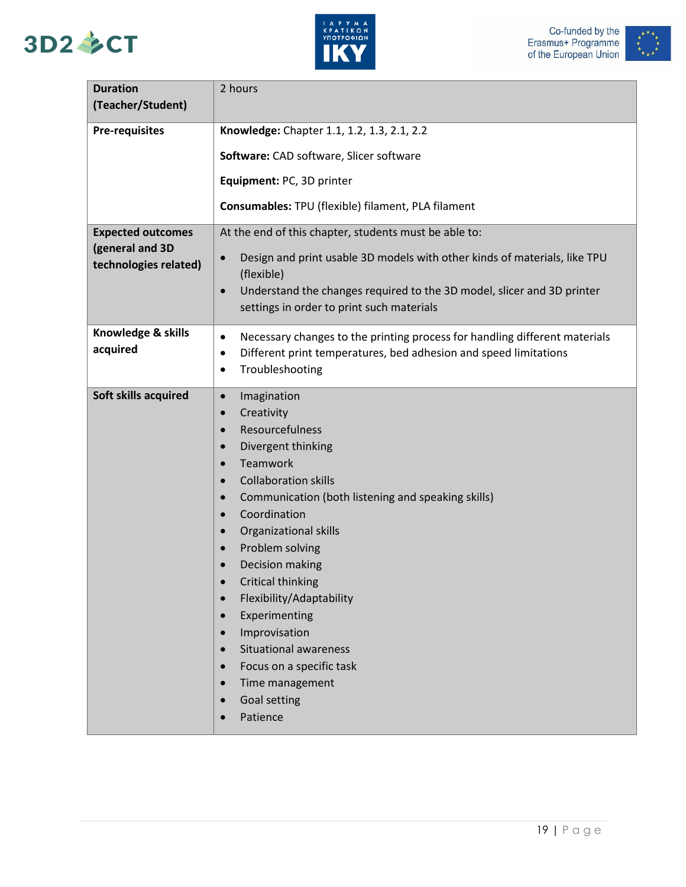





| <b>Duration</b>                                                      | 2 hours                                                                                                                                                                                                                                                                                                                                                                                                                                                                                                                                                                                                                                                          |
|----------------------------------------------------------------------|------------------------------------------------------------------------------------------------------------------------------------------------------------------------------------------------------------------------------------------------------------------------------------------------------------------------------------------------------------------------------------------------------------------------------------------------------------------------------------------------------------------------------------------------------------------------------------------------------------------------------------------------------------------|
| (Teacher/Student)                                                    |                                                                                                                                                                                                                                                                                                                                                                                                                                                                                                                                                                                                                                                                  |
| <b>Pre-requisites</b>                                                | Knowledge: Chapter 1.1, 1.2, 1.3, 2.1, 2.2                                                                                                                                                                                                                                                                                                                                                                                                                                                                                                                                                                                                                       |
|                                                                      | Software: CAD software, Slicer software                                                                                                                                                                                                                                                                                                                                                                                                                                                                                                                                                                                                                          |
|                                                                      | Equipment: PC, 3D printer                                                                                                                                                                                                                                                                                                                                                                                                                                                                                                                                                                                                                                        |
|                                                                      | Consumables: TPU (flexible) filament, PLA filament                                                                                                                                                                                                                                                                                                                                                                                                                                                                                                                                                                                                               |
| <b>Expected outcomes</b><br>(general and 3D<br>technologies related) | At the end of this chapter, students must be able to:<br>Design and print usable 3D models with other kinds of materials, like TPU<br>$\bullet$<br>(flexible)<br>Understand the changes required to the 3D model, slicer and 3D printer<br>$\bullet$<br>settings in order to print such materials                                                                                                                                                                                                                                                                                                                                                                |
| Knowledge & skills<br>acquired                                       | Necessary changes to the printing process for handling different materials<br>$\bullet$<br>Different print temperatures, bed adhesion and speed limitations<br>$\bullet$<br>Troubleshooting<br>٠                                                                                                                                                                                                                                                                                                                                                                                                                                                                 |
| Soft skills acquired                                                 | Imagination<br>$\bullet$<br>Creativity<br>$\bullet$<br>Resourcefulness<br>$\bullet$<br>Divergent thinking<br>$\bullet$<br>Teamwork<br><b>Collaboration skills</b><br>$\bullet$<br>Communication (both listening and speaking skills)<br>$\bullet$<br>Coordination<br>$\bullet$<br>Organizational skills<br>$\bullet$<br>Problem solving<br>$\bullet$<br>Decision making<br>$\bullet$<br>Critical thinking<br>Flexibility/Adaptability<br>$\bullet$<br>Experimenting<br>$\bullet$<br>Improvisation<br>$\bullet$<br><b>Situational awareness</b><br>$\bullet$<br>Focus on a specific task<br>$\bullet$<br>Time management<br>Goal setting<br>$\bullet$<br>Patience |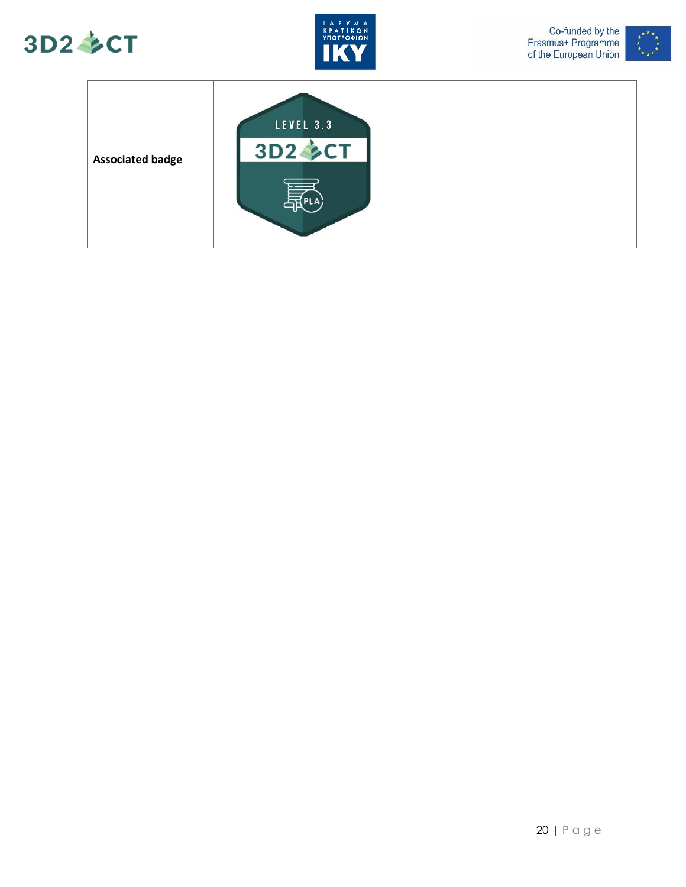